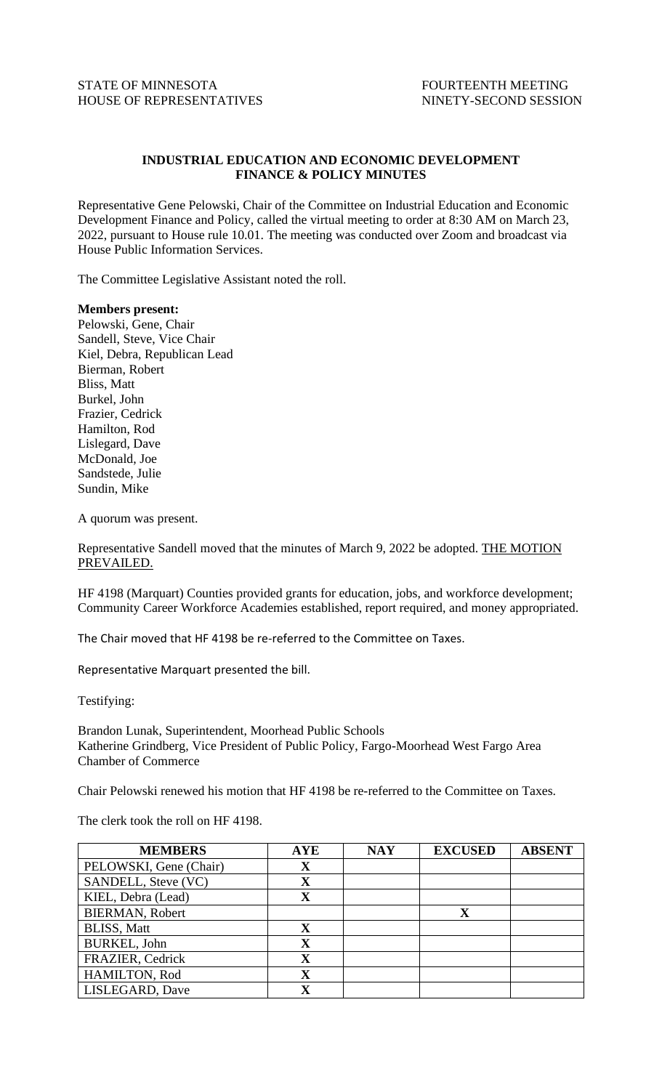## **INDUSTRIAL EDUCATION AND ECONOMIC DEVELOPMENT FINANCE & POLICY MINUTES**

Representative Gene Pelowski, Chair of the Committee on Industrial Education and Economic Development Finance and Policy, called the virtual meeting to order at 8:30 AM on March 23, 2022, pursuant to House rule 10.01. The meeting was conducted over Zoom and broadcast via House Public Information Services.

The Committee Legislative Assistant noted the roll.

## **Members present:**

Pelowski, Gene, Chair Sandell, Steve, Vice Chair Kiel, Debra, Republican Lead Bierman, Robert Bliss, Matt Burkel, John Frazier, Cedrick Hamilton, Rod Lislegard, Dave McDonald, Joe Sandstede, Julie Sundin, Mike

A quorum was present.

Representative Sandell moved that the minutes of March 9, 2022 be adopted. THE MOTION PREVAILED.

HF 4198 (Marquart) Counties provided grants for education, jobs, and workforce development; Community Career Workforce Academies established, report required, and money appropriated.

The Chair moved that HF 4198 be re-referred to the Committee on Taxes.

Representative Marquart presented the bill.

Testifying:

Brandon Lunak, Superintendent, Moorhead Public Schools Katherine Grindberg, Vice President of Public Policy, Fargo-Moorhead West Fargo Area Chamber of Commerce

Chair Pelowski renewed his motion that HF 4198 be re-referred to the Committee on Taxes.

The clerk took the roll on HF 4198.

| <b>MEMBERS</b>         | <b>AYE</b>              | <b>NAY</b> | <b>EXCUSED</b> | <b>ABSENT</b> |
|------------------------|-------------------------|------------|----------------|---------------|
| PELOWSKI, Gene (Chair) | $\mathbf X$             |            |                |               |
| SANDELL, Steve (VC)    | $\overline{\mathbf{X}}$ |            |                |               |
| KIEL, Debra (Lead)     | $\mathbf X$             |            |                |               |
| <b>BIERMAN, Robert</b> |                         |            | $\mathbf{v}$   |               |
| <b>BLISS, Matt</b>     | $\mathbf X$             |            |                |               |
| <b>BURKEL, John</b>    | $\mathbf X$             |            |                |               |
| FRAZIER, Cedrick       | $\mathbf X$             |            |                |               |
| HAMILTON, Rod          | $\mathbf X$             |            |                |               |
| LISLEGARD, Dave        | $\overline{\mathbf{X}}$ |            |                |               |